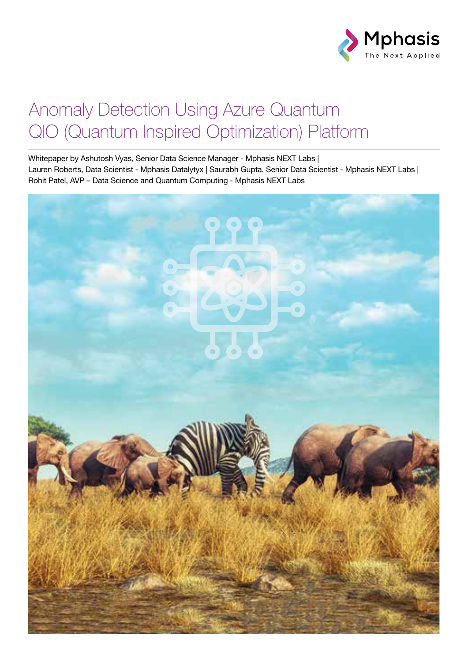

## Anomaly Detection Using Azure Quantum QIO (Quantum Inspired Optimization) Platform

Whitepaper by Ashutosh Vyas, Senior Data Science Manager - Mphasis NEXT Labs | Lauren Roberts, Data Scientist - Mphasis Datalytyx | Saurabh Gupta, Senior Data Scientist - Mphasis NEXT Labs | Rohit Patel, AVP – Data Science and Quantum Computing - Mphasis NEXT Labs

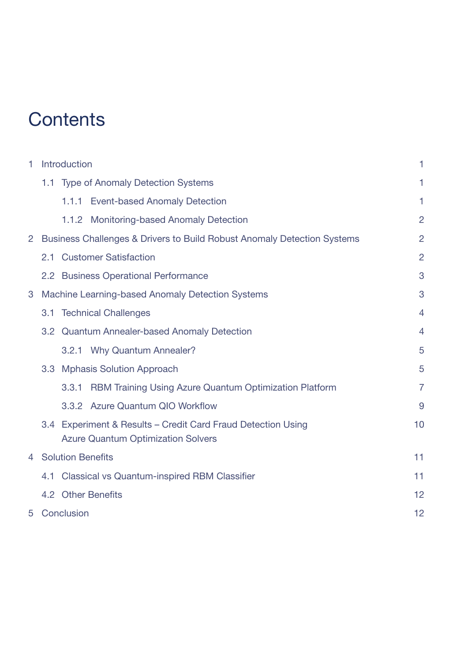## **Contents**

| 1                    | Introduction                                     |                                                                                                           |                |  |  |
|----------------------|--------------------------------------------------|-----------------------------------------------------------------------------------------------------------|----------------|--|--|
|                      |                                                  | 1.1 Type of Anomaly Detection Systems                                                                     | 1              |  |  |
|                      |                                                  | 1.1.1 Event-based Anomaly Detection                                                                       | 1              |  |  |
|                      |                                                  | 1.1.2 Monitoring-based Anomaly Detection                                                                  | $\overline{2}$ |  |  |
| $\mathbf{2}^{\circ}$ |                                                  | Business Challenges & Drivers to Build Robust Anomaly Detection Systems                                   | $\overline{2}$ |  |  |
|                      | 2.1                                              | <b>Customer Satisfaction</b>                                                                              | $\overline{2}$ |  |  |
|                      |                                                  | 2.2 Business Operational Performance                                                                      | 3              |  |  |
| 3                    | Machine Learning-based Anomaly Detection Systems |                                                                                                           |                |  |  |
|                      |                                                  | 3.1 Technical Challenges                                                                                  |                |  |  |
|                      |                                                  | 3.2 Quantum Annealer-based Anomaly Detection                                                              |                |  |  |
|                      |                                                  | 3.2.1 Why Quantum Annealer?                                                                               | 5              |  |  |
|                      |                                                  | 3.3 Mphasis Solution Approach                                                                             | 5              |  |  |
|                      |                                                  | RBM Training Using Azure Quantum Optimization Platform<br>3.3.1                                           | $\overline{7}$ |  |  |
|                      |                                                  | 3.3.2 Azure Quantum QIO Workflow                                                                          | 9              |  |  |
|                      |                                                  | 3.4 Experiment & Results - Credit Card Fraud Detection Using<br><b>Azure Quantum Optimization Solvers</b> | 10             |  |  |
| 4                    | <b>Solution Benefits</b>                         |                                                                                                           |                |  |  |
|                      | 4.1                                              | <b>Classical vs Quantum-inspired RBM Classifier</b>                                                       |                |  |  |
|                      |                                                  | 4.2 Other Benefits                                                                                        | 12             |  |  |
| 5                    |                                                  | Conclusion                                                                                                | 12             |  |  |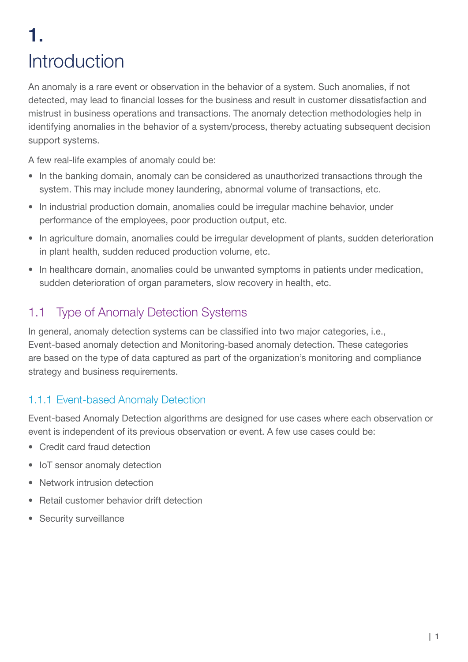# 1. **Introduction**

An anomaly is a rare event or observation in the behavior of a system. Such anomalies, if not detected, may lead to financial losses for the business and result in customer dissatisfaction and mistrust in business operations and transactions. The anomaly detection methodologies help in identifying anomalies in the behavior of a system/process, thereby actuating subsequent decision support systems.

A few real-life examples of anomaly could be:

- In the banking domain, anomaly can be considered as unauthorized transactions through the system. This may include money laundering, abnormal volume of transactions, etc.
- In industrial production domain, anomalies could be irregular machine behavior, under performance of the employees, poor production output, etc.
- In agriculture domain, anomalies could be irregular development of plants, sudden deterioration in plant health, sudden reduced production volume, etc.
- In healthcare domain, anomalies could be unwanted symptoms in patients under medication, sudden deterioration of organ parameters, slow recovery in health, etc.

## 1.1 Type of Anomaly Detection Systems

In general, anomaly detection systems can be classified into two major categories, i.e., Event-based anomaly detection and Monitoring-based anomaly detection. These categories are based on the type of data captured as part of the organization's monitoring and compliance strategy and business requirements.

### 1.1.1 Event-based Anomaly Detection

Event-based Anomaly Detection algorithms are designed for use cases where each observation or event is independent of its previous observation or event. A few use cases could be:

- Credit card fraud detection
- IoT sensor anomaly detection
- Network intrusion detection
- Retail customer behavior drift detection
- Security surveillance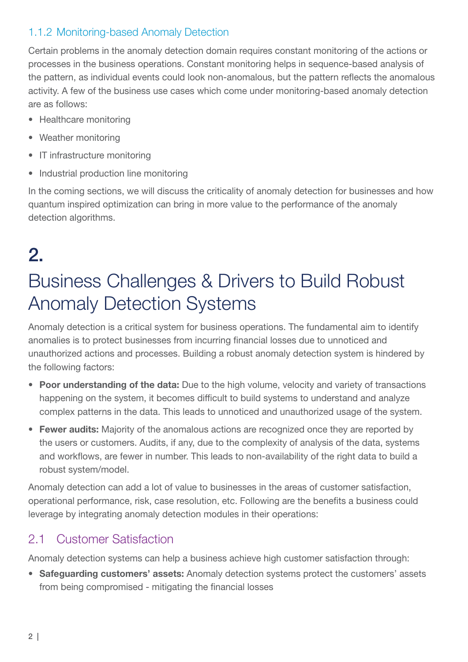### 1.1.2 Monitoring-based Anomaly Detection

Certain problems in the anomaly detection domain requires constant monitoring of the actions or processes in the business operations. Constant monitoring helps in sequence-based analysis of the pattern, as individual events could look non-anomalous, but the pattern reflects the anomalous activity. A few of the business use cases which come under monitoring-based anomaly detection are as follows:

- Healthcare monitoring
- Weather monitoring
- IT infrastructure monitoring
- Industrial production line monitoring

In the coming sections, we will discuss the criticality of anomaly detection for businesses and how quantum inspired optimization can bring in more value to the performance of the anomaly detection algorithms.

# 2.

# Business Challenges & Drivers to Build Robust Anomaly Detection Systems

Anomaly detection is a critical system for business operations. The fundamental aim to identify anomalies is to protect businesses from incurring financial losses due to unnoticed and unauthorized actions and processes. Building a robust anomaly detection system is hindered by the following factors:

- Poor understanding of the data: Due to the high volume, velocity and variety of transactions happening on the system, it becomes difficult to build systems to understand and analyze complex patterns in the data. This leads to unnoticed and unauthorized usage of the system.
- Fewer audits: Majority of the anomalous actions are recognized once they are reported by the users or customers. Audits, if any, due to the complexity of analysis of the data, systems and workflows, are fewer in number. This leads to non-availability of the right data to build a robust system/model.

Anomaly detection can add a lot of value to businesses in the areas of customer satisfaction, operational performance, risk, case resolution, etc. Following are the benefits a business could leverage by integrating anomaly detection modules in their operations:

## 2.1 Customer Satisfaction

Anomaly detection systems can help a business achieve high customer satisfaction through:

• Safeguarding customers' assets: Anomaly detection systems protect the customers' assets from being compromised - mitigating the financial losses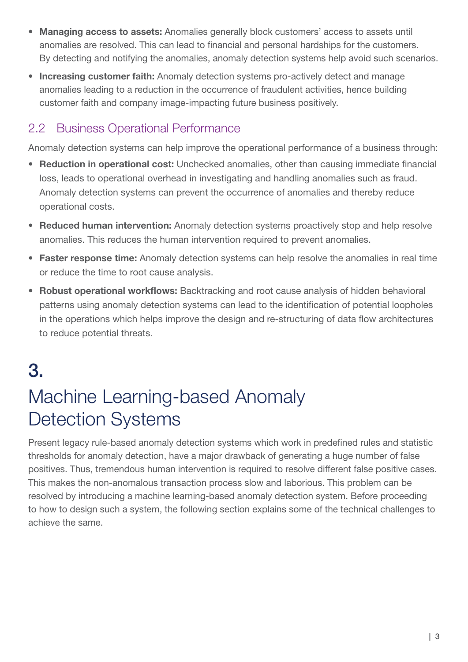- Managing access to assets: Anomalies generally block customers' access to assets until anomalies are resolved. This can lead to financial and personal hardships for the customers. By detecting and notifying the anomalies, anomaly detection systems help avoid such scenarios.
- Increasing customer faith: Anomaly detection systems pro-actively detect and manage anomalies leading to a reduction in the occurrence of fraudulent activities, hence building customer faith and company image-impacting future business positively.

## 2.2 Business Operational Performance

Anomaly detection systems can help improve the operational performance of a business through:

- Reduction in operational cost: Unchecked anomalies, other than causing immediate financial loss, leads to operational overhead in investigating and handling anomalies such as fraud. Anomaly detection systems can prevent the occurrence of anomalies and thereby reduce operational costs.
- Reduced human intervention: Anomaly detection systems proactively stop and help resolve anomalies. This reduces the human intervention required to prevent anomalies.
- Faster response time: Anomaly detection systems can help resolve the anomalies in real time or reduce the time to root cause analysis.
- Robust operational workflows: Backtracking and root cause analysis of hidden behavioral patterns using anomaly detection systems can lead to the identification of potential loopholes in the operations which helps improve the design and re-structuring of data flow architectures to reduce potential threats.

# 3.

## Machine Learning-based Anomaly Detection Systems

Present legacy rule-based anomaly detection systems which work in predefined rules and statistic thresholds for anomaly detection, have a major drawback of generating a huge number of false positives. Thus, tremendous human intervention is required to resolve different false positive cases. This makes the non-anomalous transaction process slow and laborious. This problem can be resolved by introducing a machine learning-based anomaly detection system. Before proceeding to how to design such a system, the following section explains some of the technical challenges to achieve the same.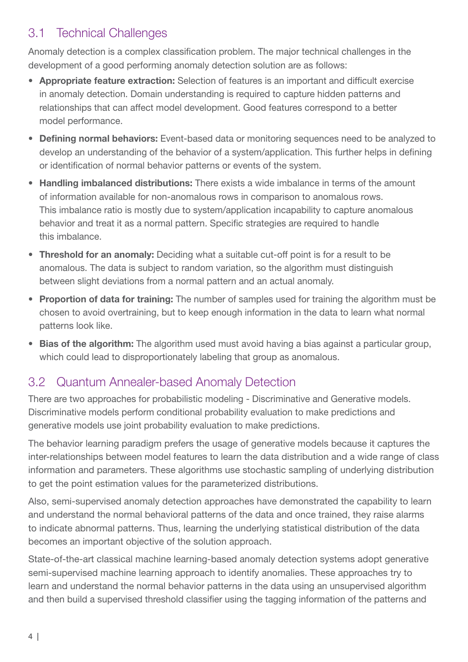### 3.1 Technical Challenges

Anomaly detection is a complex classification problem. The major technical challenges in the development of a good performing anomaly detection solution are as follows:

- Appropriate feature extraction: Selection of features is an important and difficult exercise in anomaly detection. Domain understanding is required to capture hidden patterns and relationships that can affect model development. Good features correspond to a better model performance.
- Defining normal behaviors: Event-based data or monitoring sequences need to be analyzed to develop an understanding of the behavior of a system/application. This further helps in defining or identification of normal behavior patterns or events of the system.
- Handling imbalanced distributions: There exists a wide imbalance in terms of the amount of information available for non-anomalous rows in comparison to anomalous rows. This imbalance ratio is mostly due to system/application incapability to capture anomalous behavior and treat it as a normal pattern. Specific strategies are required to handle this imbalance.
- Threshold for an anomaly: Deciding what a suitable cut-off point is for a result to be anomalous. The data is subject to random variation, so the algorithm must distinguish between slight deviations from a normal pattern and an actual anomaly.
- Proportion of data for training: The number of samples used for training the algorithm must be chosen to avoid overtraining, but to keep enough information in the data to learn what normal patterns look like.
- Bias of the algorithm: The algorithm used must avoid having a bias against a particular group, which could lead to disproportionately labeling that group as anomalous.

## 3.2 Quantum Annealer-based Anomaly Detection

There are two approaches for probabilistic modeling - Discriminative and Generative models. Discriminative models perform conditional probability evaluation to make predictions and generative models use joint probability evaluation to make predictions.

The behavior learning paradigm prefers the usage of generative models because it captures the inter-relationships between model features to learn the data distribution and a wide range of class information and parameters. These algorithms use stochastic sampling of underlying distribution to get the point estimation values for the parameterized distributions.

Also, semi-supervised anomaly detection approaches have demonstrated the capability to learn and understand the normal behavioral patterns of the data and once trained, they raise alarms to indicate abnormal patterns. Thus, learning the underlying statistical distribution of the data becomes an important objective of the solution approach.

State-of-the-art classical machine learning-based anomaly detection systems adopt generative semi-supervised machine learning approach to identify anomalies. These approaches try to learn and understand the normal behavior patterns in the data using an unsupervised algorithm and then build a supervised threshold classifier using the tagging information of the patterns and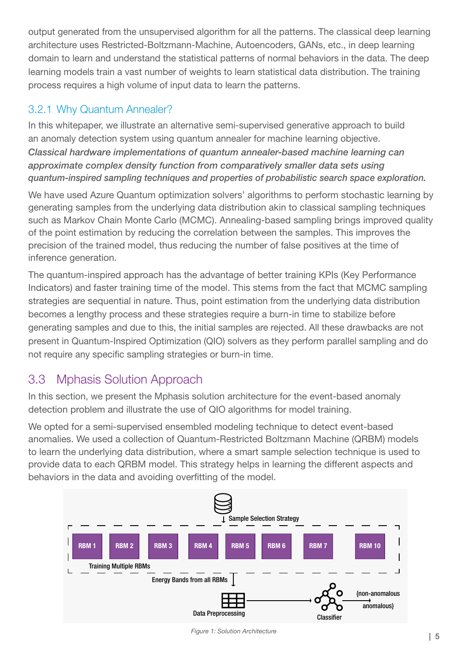output generated from the unsupervised algorithm for all the patterns. The classical deep learning architecture uses Restricted-Boltzmann-Machine, Autoencoders, GANs, etc., in deep learning domain to learn and understand the statistical patterns of normal behaviors in the data. The deep learning models train a vast number of weights to learn statistical data distribution. The training process requires a high volume of input data to learn the patterns.

### 3.2.1 Why Quantum Annealer?

In this whitepaper, we illustrate an alternative semi-supervised generative approach to build an anomaly detection system using quantum annealer for machine learning objective. *Classical hardware implementations of quantum annealer-based machine learning can approximate complex density function from comparatively smaller data sets using quantum-inspired sampling techniques and properties of probabilistic search space exploration.*

We have used Azure Quantum optimization solvers' algorithms to perform stochastic learning by generating samples from the underlying data distribution akin to classical sampling techniques such as Markov Chain Monte Carlo (MCMC). Annealing-based sampling brings improved quality of the point estimation by reducing the correlation between the samples. This improves the precision of the trained model, thus reducing the number of false positives at the time of inference generation.

The quantum-inspired approach has the advantage of better training KPIs (Key Performance Indicators) and faster training time of the model. This stems from the fact that MCMC sampling strategies are sequential in nature. Thus, point estimation from the underlying data distribution becomes a lengthy process and these strategies require a burn-in time to stabilize before generating samples and due to this, the initial samples are rejected. All these drawbacks are not present in Quantum-Inspired Optimization (QIO) solvers as they perform parallel sampling and do not require any specific sampling strategies or burn-in time.

## 3.3 Mphasis Solution Approach

In this section, we present the Mphasis solution architecture for the event-based anomaly detection problem and illustrate the use of QIO algorithms for model training.

We opted for a semi-supervised ensembled modeling technique to detect event-based anomalies. We used a collection of Quantum-Restricted Boltzmann Machine (QRBM) models to learn the underlying data distribution, where a smart sample selection technique is used to provide data to each QRBM model. This strategy helps in learning the different aspects and behaviors in the data and avoiding overfitting of the model.



| 5 *Figure 1: Solution Architecture*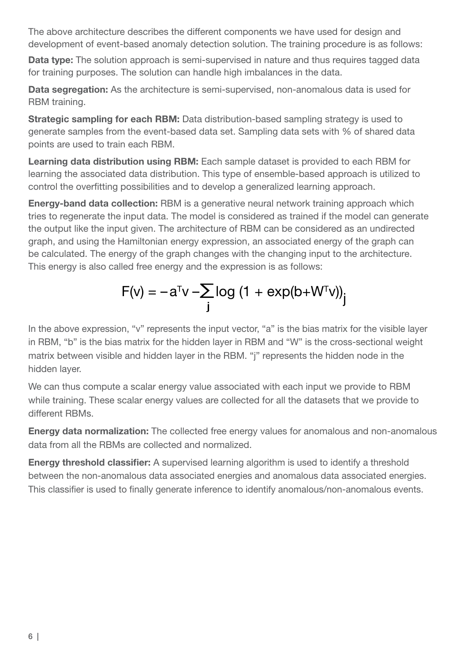The above architecture describes the different components we have used for design and development of event-based anomaly detection solution. The training procedure is as follows:

Data type: The solution approach is semi-supervised in nature and thus requires tagged data for training purposes. The solution can handle high imbalances in the data.

Data segregation: As the architecture is semi-supervised, non-anomalous data is used for RBM training.

Strategic sampling for each RBM: Data distribution-based sampling strategy is used to generate samples from the event-based data set. Sampling data sets with % of shared data points are used to train each RBM.

Learning data distribution using RBM: Each sample dataset is provided to each RBM for learning the associated data distribution. This type of ensemble-based approach is utilized to control the overfitting possibilities and to develop a generalized learning approach.

Energy-band data collection: RBM is a generative neural network training approach which tries to regenerate the input data. The model is considered as trained if the model can generate the output like the input given. The architecture of RBM can be considered as an undirected graph, and using the Hamiltonian energy expression, an associated energy of the graph can be calculated. The energy of the graph changes with the changing input to the architecture. This energy is also called free energy and the expression is as follows:

$$
F(v) = -a^{T}v - \sum_{j} log (1 + exp(b + W^{T}v))_{j}
$$

In the above expression, "v" represents the input vector, "a" is the bias matrix for the visible layer in RBM, "b" is the bias matrix for the hidden layer in RBM and "W" is the cross-sectional weight matrix between visible and hidden layer in the RBM. "j" represents the hidden node in the hidden layer.

We can thus compute a scalar energy value associated with each input we provide to RBM while training. These scalar energy values are collected for all the datasets that we provide to different RBMs.

Energy data normalization: The collected free energy values for anomalous and non-anomalous data from all the RBMs are collected and normalized.

Energy threshold classifier: A supervised learning algorithm is used to identify a threshold between the non-anomalous data associated energies and anomalous data associated energies. This classifier is used to finally generate inference to identify anomalous/non-anomalous events.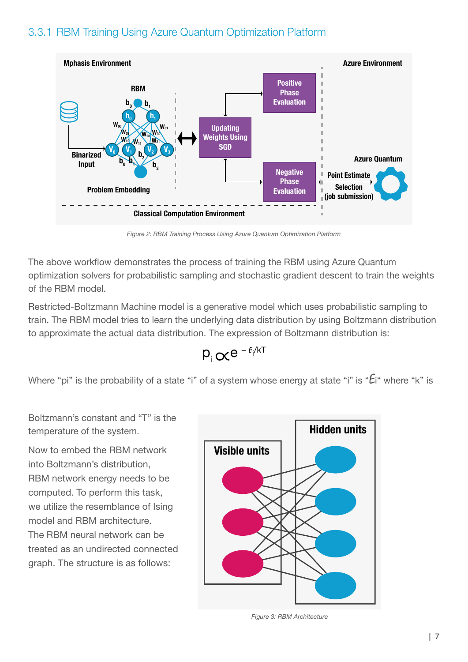### 3.3.1 RBM Training Using Azure Quantum Optimization Platform



*Figure 2: RBM Training Process Using Azure Quantum Optimization Platform*

The above workflow demonstrates the process of training the RBM using Azure Quantum optimization solvers for probabilistic sampling and stochastic gradient descent to train the weights of the RBM model.

Restricted-Boltzmann Machine model is a generative model which uses probabilistic sampling to train. The RBM model tries to learn the underlying data distribution by using Boltzmann distribution to approximate the actual data distribution. The expression of Boltzmann distribution is:

$$
p_i \propto e^{-\epsilon_i/kT}
$$

Where "pi" is the probability of a state "i" of a system whose energy at state "i" is " $E$ i" where "k" is

Boltzmann's constant and "T" is the temperature of the system.

Now to embed the RBM network into Boltzmann's distribution, RBM network energy needs to be computed. To perform this task, we utilize the resemblance of Ising model and RBM architecture. The RBM neural network can be treated as an undirected connected graph. The structure is as follows:



*Figure 3: RBM Architecture*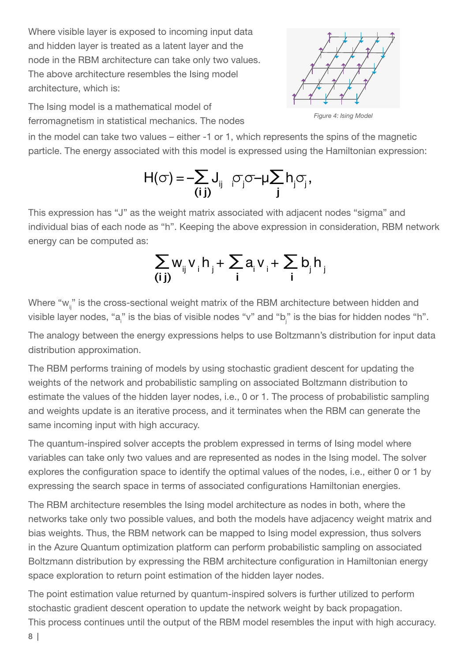Where visible layer is exposed to incoming input data and hidden layer is treated as a latent layer and the node in the RBM architecture can take only two values. The above architecture resembles the Ising model architecture, which is:

The Ising model is a mathematical model of ferromagnetism in statistical mechanics. The nodes *Figure 4: Ising Model*

in the model can take two values – either -1 or 1, which represents the spins of the magnetic particle. The energy associated with this model is expressed using the Hamiltonian expression:

$$
H(\sigma) = -\sum_{(i\,j)} J_{ij} \quad \sigma_j \sigma - \mu \sum_j h_j \sigma_j,
$$

This expression has "J" as the weight matrix associated with adjacent nodes "sigma" and individual bias of each node as "h". Keeping the above expression in consideration, RBM network energy can be computed as:

$$
\sum_{(i\,j)} w_{ij} v_i h_j + \sum_i a_i v_i + \sum_i b_j h_j
$$

Where " $w_{ii}$ " is the cross-sectional weight matrix of the RBM architecture between hidden and visible layer nodes, "a<sub>i</sub>" is the bias of visible nodes "v" and "b<sub>j</sub>" is the bias for hidden nodes "h".

The analogy between the energy expressions helps to use Boltzmann's distribution for input data distribution approximation.

The RBM performs training of models by using stochastic gradient descent for updating the weights of the network and probabilistic sampling on associated Boltzmann distribution to estimate the values of the hidden layer nodes, i.e., 0 or 1. The process of probabilistic sampling and weights update is an iterative process, and it terminates when the RBM can generate the same incoming input with high accuracy.

The quantum-inspired solver accepts the problem expressed in terms of Ising model where variables can take only two values and are represented as nodes in the Ising model. The solver explores the configuration space to identify the optimal values of the nodes, i.e., either 0 or 1 by expressing the search space in terms of associated configurations Hamiltonian energies.

The RBM architecture resembles the Ising model architecture as nodes in both, where the networks take only two possible values, and both the models have adjacency weight matrix and bias weights. Thus, the RBM network can be mapped to Ising model expression, thus solvers in the Azure Quantum optimization platform can perform probabilistic sampling on associated Boltzmann distribution by expressing the RBM architecture configuration in Hamiltonian energy space exploration to return point estimation of the hidden layer nodes.

The point estimation value returned by quantum-inspired solvers is further utilized to perform stochastic gradient descent operation to update the network weight by back propagation. This process continues until the output of the RBM model resembles the input with high accuracy.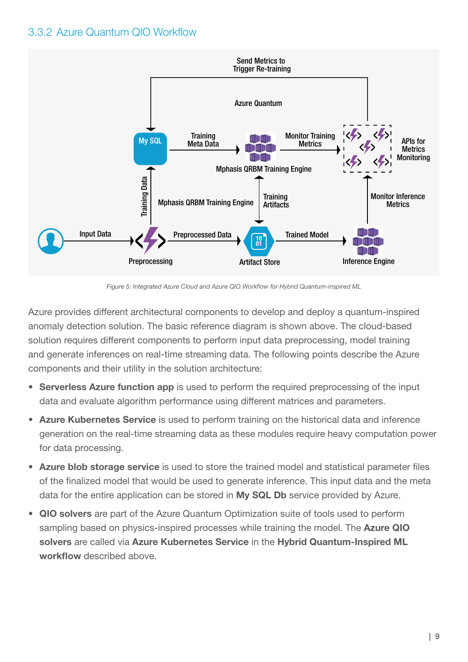### 3.3.2 Azure Quantum QIO Workflow



*Figure 5: Integrated Azure Cloud and Azure QIO Workflow for Hybrid Quantum-inspired ML*

Azure provides different architectural components to develop and deploy a quantum-inspired anomaly detection solution. The basic reference diagram is shown above. The cloud-based solution requires different components to perform input data preprocessing, model training and generate inferences on real-time streaming data. The following points describe the Azure components and their utility in the solution architecture:

- Serverless Azure function app is used to perform the required preprocessing of the input data and evaluate algorithm performance using different matrices and parameters.
- Azure Kubernetes Service is used to perform training on the historical data and inference generation on the real-time streaming data as these modules require heavy computation power for data processing.
- Azure blob storage service is used to store the trained model and statistical parameter files of the finalized model that would be used to generate inference. This input data and the meta data for the entire application can be stored in My SQL Db service provided by Azure.
- QIO solvers are part of the Azure Quantum Optimization suite of tools used to perform sampling based on physics-inspired processes while training the model. The Azure QIO solvers are called via Azure Kubernetes Service in the Hybrid Quantum-Inspired ML workflow described above.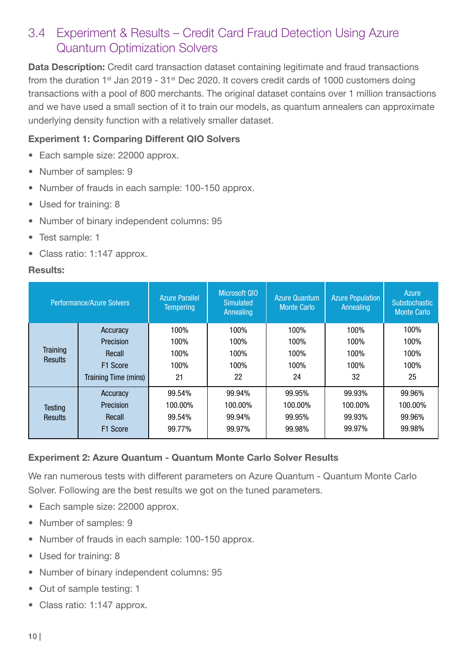### 3.4 Experiment & Results – Credit Card Fraud Detection Using Azure Quantum Optimization Solvers

Data Description: Credit card transaction dataset containing legitimate and fraud transactions from the duration  $1^{st}$  Jan 2019 - 31 $^{st}$  Dec 2020. It covers credit cards of 1000 customers doing transactions with a pool of 800 merchants. The original dataset contains over 1 million transactions and we have used a small section of it to train our models, as quantum annealers can approximate underlying density function with a relatively smaller dataset.

#### Experiment 1: Comparing Different QIO Solvers

- Each sample size: 22000 approx.
- Number of samples: 9
- Number of frauds in each sample: 100-150 approx.
- Used for training: 8
- Number of binary independent columns: 95
- Test sample: 1
- Class ratio: 1:147 approx.

#### Results:

| Performance/Azure Solvers |                      | <b>Azure Parallel</b><br><b>Tempering</b> | Microsoft QIO<br><b>Simulated</b><br><b>Annealing</b> | <b>Azure Quantum</b><br><b>Monte Carlo</b> | <b>Azure Population</b><br>Annealing | Azure<br>Substochastic<br><b>Monte Carlo</b> |
|---------------------------|----------------------|-------------------------------------------|-------------------------------------------------------|--------------------------------------------|--------------------------------------|----------------------------------------------|
|                           | Accuracy             | 100%                                      | 100%                                                  | 100%                                       | 100%                                 | 100%                                         |
|                           | Precision            | 100%                                      | 100%                                                  | 100%                                       | 100%                                 | 100%                                         |
| <b>Training</b>           | Recall               | 100%                                      | 100%                                                  | 100%                                       | 100%                                 | 100%                                         |
| Results                   | F <sub>1</sub> Score | 100%                                      | 100%                                                  | 100%                                       | 100%                                 | 100%                                         |
|                           | Training Time (mins) | 21                                        | 22                                                    | 24                                         | 32                                   | 25                                           |
|                           | Accuracy             | 99.54%                                    | 99.94%                                                | 99.95%                                     | 99.93%                               | 99.96%                                       |
| Testing                   | Precision            | 100.00%                                   | 100.00%                                               | 100.00%                                    | 100.00%                              | 100.00%                                      |
| <b>Results</b>            | Recall               | 99.54%                                    | 99.94%                                                | 99.95%                                     | 99.93%                               | 99.96%                                       |
|                           | F <sub>1</sub> Score | 99.77%                                    | 99.97%                                                | 99.98%                                     | 99.97%                               | 99.98%                                       |
|                           |                      |                                           |                                                       |                                            |                                      |                                              |

#### Experiment 2: Azure Quantum - Quantum Monte Carlo Solver Results

We ran numerous tests with different parameters on Azure Quantum - Quantum Monte Carlo Solver. Following are the best results we got on the tuned parameters.

- Each sample size: 22000 approx.
- Number of samples: 9
- Number of frauds in each sample: 100-150 approx.
- Used for training: 8
- Number of binary independent columns: 95
- Out of sample testing: 1
- Class ratio: 1:147 approx.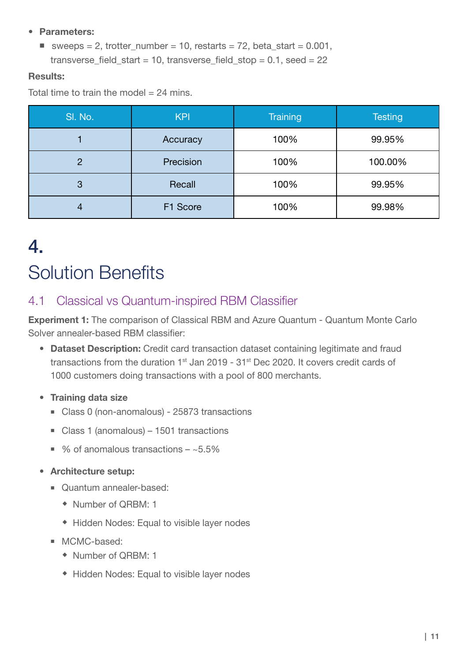#### • Parameters:

■ sweeps = 2, trotter number = 10, restarts = 72, beta start =  $0.001$ , transverse\_field\_start = 10, transverse\_field\_stop =  $0.1$ , seed =  $22$ 

#### Results:

Total time to train the model  $= 24$  mins.

| SI. No. | <b>KPI</b> | <b>Training</b> | <b>Testing</b> |
|---------|------------|-----------------|----------------|
|         | Accuracy   | 100%            | 99.95%         |
| 2       | Precision  | 100%            | 100.00%        |
| 3       | Recall     | 100%            | 99.95%         |
| 4       | F1 Score   | 100%            | 99.98%         |

## 4. Solution Benefits

### 4.1 Classical vs Quantum-inspired RBM Classifier

Experiment 1: The comparison of Classical RBM and Azure Quantum - Quantum Monte Carlo Solver annealer-based RBM classifier:

- Dataset Description: Credit card transaction dataset containing legitimate and fraud transactions from the duration 1<sup>st</sup> Jan 2019 - 31<sup>st</sup> Dec 2020. It covers credit cards of 1000 customers doing transactions with a pool of 800 merchants.
- Training data size
	- Class 0 (non-anomalous) 25873 transactions
	- Class 1 (anomalous) 1501 transactions
	- % of anomalous transactions  $-$  ~5.5%
- Architecture setup:
	- Quantum annealer-based:
		- Number of QRBM: 1
		- Hidden Nodes: Equal to visible layer nodes
	- **MCMC-based:** 
		- Number of QRBM: 1
		- Hidden Nodes: Equal to visible layer nodes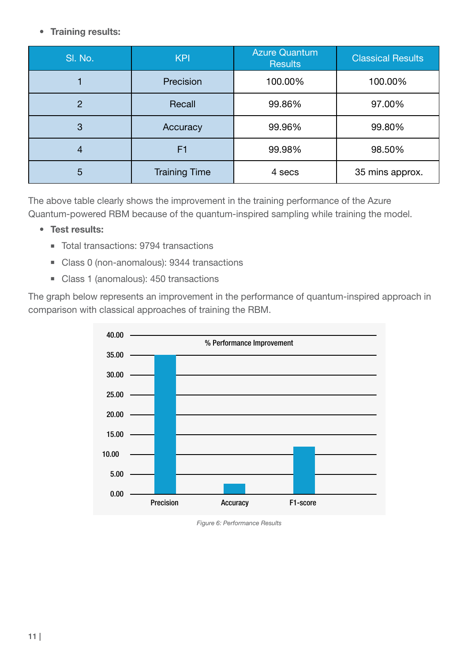#### • Training results:

| SI. No.        | <b>KPI</b>           | <b>Azure Quantum</b><br><b>Results</b> | <b>Classical Results</b> |
|----------------|----------------------|----------------------------------------|--------------------------|
|                | Precision            | 100.00%                                | 100.00%                  |
| $\overline{2}$ | Recall               | 99.86%                                 | 97.00%                   |
| 3              | Accuracy             | 99.96%                                 | 99.80%                   |
|                | F1                   | 99.98%                                 | 98.50%                   |
| 5              | <b>Training Time</b> | 4 secs                                 | 35 mins approx.          |

The above table clearly shows the improvement in the training performance of the Azure Quantum-powered RBM because of the quantum-inspired sampling while training the model.

#### • Test results:

- Total transactions: 9794 transactions
- Class 0 (non-anomalous): 9344 transactions
- Class 1 (anomalous): 450 transactions

The graph below represents an improvement in the performance of quantum-inspired approach in comparison with classical approaches of training the RBM.



*Figure 6: Performance Results*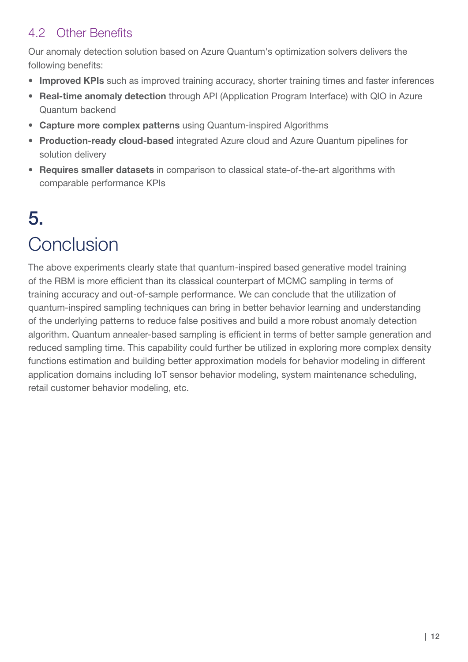### 4.2 Other Benefits

Our anomaly detection solution based on Azure Quantum's optimization solvers delivers the following benefits:

- Improved KPIs such as improved training accuracy, shorter training times and faster inferences
- Real-time anomaly detection through API (Application Program Interface) with QIO in Azure Quantum backend
- Capture more complex patterns using Quantum-inspired Algorithms
- Production-ready cloud-based integrated Azure cloud and Azure Quantum pipelines for solution delivery
- Requires smaller datasets in comparison to classical state-of-the-art algorithms with comparable performance KPIs

## 5. **Conclusion**

The above experiments clearly state that quantum-inspired based generative model training of the RBM is more efficient than its classical counterpart of MCMC sampling in terms of training accuracy and out-of-sample performance. We can conclude that the utilization of quantum-inspired sampling techniques can bring in better behavior learning and understanding of the underlying patterns to reduce false positives and build a more robust anomaly detection algorithm. Quantum annealer-based sampling is efficient in terms of better sample generation and reduced sampling time. This capability could further be utilized in exploring more complex density functions estimation and building better approximation models for behavior modeling in different application domains including IoT sensor behavior modeling, system maintenance scheduling, retail customer behavior modeling, etc.